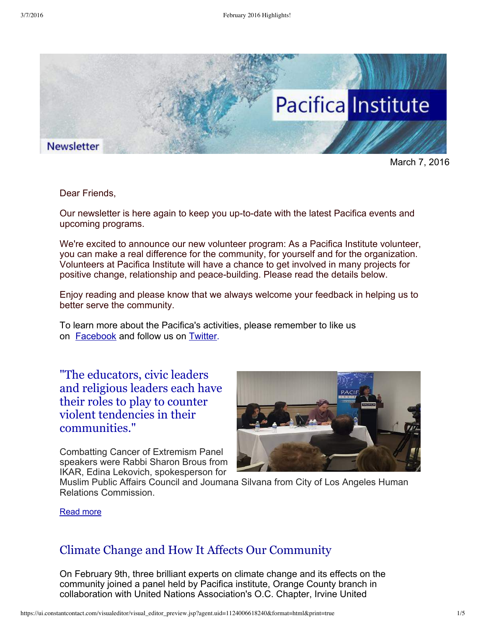

March 7, 2016

Dear Friends,

Our newsletter is here again to keep you up-to-date with the latest Pacifica events and upcoming programs.

We're excited to announce our new volunteer program: As a Pacifica Institute volunteer, you can make a real difference for the community, for yourself and for the organization. Volunteers at Pacifica Institute will have a chance to get involved in many projects for positive change, relationship and peace-building. Please read the details below.

Enjoy reading and please know that we always welcome your feedback in helping us to better serve the community.

To learn more about the Pacifica's activities, please remember to like us on **[Facebook](https://www.facebook.com/pacificainstitute?ref=bookmarks)** and follow us on **Twitter**.

"The educators, civic leaders and religious leaders each have their roles to play to counter violent tendencies in their [communities."](http://pacificainstitute.org/2016/03/05/combatting-cancer-of-extremism/)

Combatting Cancer of Extremism Panel speakers were Rabbi Sharon Brous from IKAR, Edina Lekovich, spokesperson for



Muslim Public Affairs Council and Joumana Silvana from City of Los Angeles Human Relations Commission.

#### [Read](http://pacificainstitute.org/2016/03/05/combatting-cancer-of-extremism/) more

### Climate Change and How It Affects Our [Community](http://pacificainstitute.org/2016/02/21/climate-change-and-how-it-affects-our-community/)

On February 9th, three brilliant experts on climate change and its effects on the community joined a panel held by Pacifica institute, Orange County branch in collaboration with United Nations Association's O.C. Chapter, Irvine United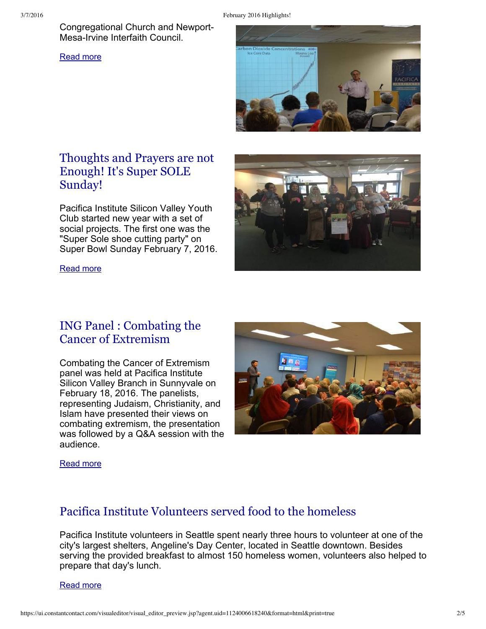Congregational Church and Newport-Mesa-Irvine Interfaith Council.

[Read](http://pacificainstitute.org/2016/02/21/climate-change-and-how-it-affects-our-community/) more



# [Thoughts](http://pacificainstitute.org/bay-area/2016/02/14/thoughts-and-prayers-are-not-enough-its-super-sole-sunday/) and Prayers are not Enough! It's Super SOLE Sunday!

Pacifica Institute Silicon Valley Youth Club started new year with a set of social projects. The first one was the "Super Sole shoe cutting party" on Super Bowl Sunday February 7, 2016.

[Read](http://pacificainstitute.org/bay-area/2016/02/14/thoughts-and-prayers-are-not-enough-its-super-sole-sunday/) more



### ING Panel : Combating the Cancer of [Extremism](http://pacificainstitute.org/bay-area/2016/01/29/ing-panel-combating-the-cancer-of-extremism/)

Combating the Cancer of Extremism panel was held at Pacifica Institute Silicon Valley Branch in Sunnyvale on February 18, 2016. The panelists, representing Judaism, Christianity, and Islam have presented their views on combating extremism, the presentation was followed by a Q&A session with the audience.



#### [Read](http://pacificainstitute.org/bay-area/2016/01/29/ing-panel-combating-the-cancer-of-extremism/) more

### Pacifica Institute [Volunteers](http://pacificainstitute.org/seattle/2016/02/17/pacifica-institute-volunteers-served-food-to-the-homeless/) served food to the homeless

Pacifica Institute volunteers in Seattle spent nearly three hours to volunteer at one of the city's largest shelters, Angeline's Day Center, located in Seattle downtown. Besides serving the provided breakfast to almost 150 homeless women, volunteers also helped to prepare that day's lunch.

[Read](http://pacificainstitute.org/seattle/2016/02/17/pacifica-institute-volunteers-served-food-to-the-homeless/) more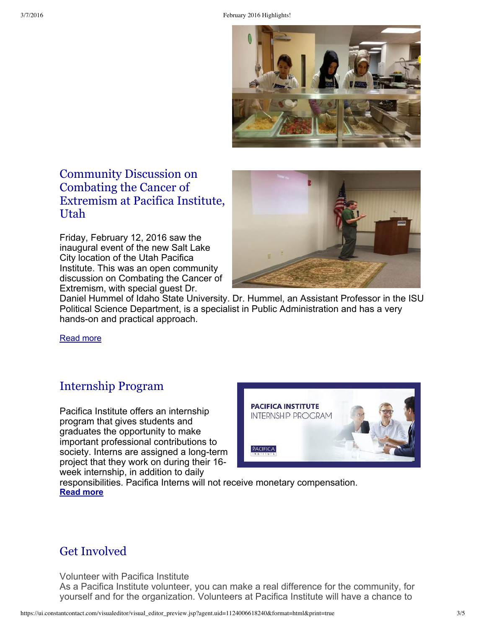

# [Community](http://pacificainstitute.org/salt-lake-city/2016/02/16/pacifica-institute-utah-hosted-a-discussion-on-combating-the-cancer-of-extremism-at-its-new-location/) Discussion on Combating the Cancer of Extremism at Pacifica Institute, Utah

Friday, February 12, 2016 saw the inaugural event of the new Salt Lake City location of the Utah Pacifica Institute. This was an open community discussion on Combating the Cancer of Extremism, with special guest Dr.



Daniel Hummel of Idaho State University. Dr. Hummel, an Assistant Professor in the ISU Political Science Department, is a specialist in Public Administration and has a very hands-on and practical approach.

[Read](http://pacificainstitute.org/salt-lake-city/2016/02/16/pacifica-institute-utah-hosted-a-discussion-on-combating-the-cancer-of-extremism-at-its-new-location/) more

# [Internship](http://pacificainstitute.org/pacifica-institute-internship-program-winterspring-2015/) Program

Pacifica Institute offers an internship program that gives students and graduates the opportunity to make important professional contributions to society. Interns are assigned a long-term project that they work on during their 16 week internship, in addition to daily



responsibilities. Pacifica Interns will not receive monetary compensation. **[Read](http://pacificainstitute.org/pacifica-institute-internship-program-winterspring-2015/) more**

### Get Involved

Volunteer with Pacifica Institute

As a Pacifica Institute volunteer, you can make a real difference for the community, for yourself and for the organization. Volunteers at Pacifica Institute will have a chance to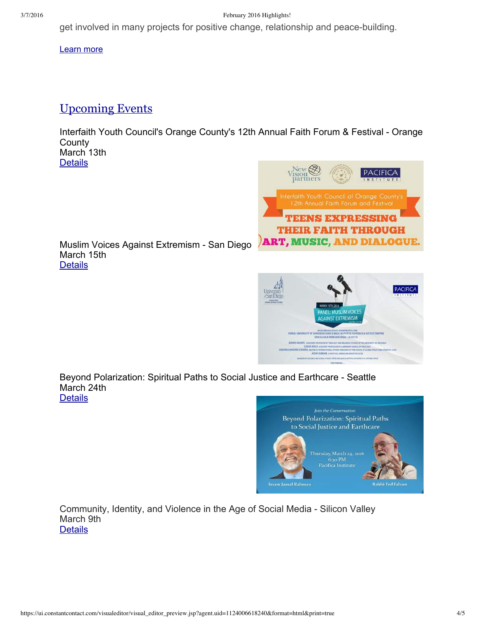3/7/2016 February 2016 Highlights!

get involved in many projects for positive change, relationship and peace-building.

[Learn](http://pacificainstitute.org/get-involved/) more

## [U](http://pacificainstitute.org/seattle/2016/02/07/pacifica-institute-seattle-organized-a-live-conversation-on-christianmuslim-response-to-refugees-and-immigration/)pcoming Events

Interfaith Youth Council's Orange County's 12th Annual Faith Forum & Festival - Orange **County** March 13th

**[Details](http://pacificainstitute.org/2016/01/05/interfaith-youth-councils-orange-countys-12th-annual-faith-forum-festival/)** 



Muslim Voices Against Extremism - San Diego March 15th **[Details](http://pacificainstitute.org/2016/03/03/panel-muslim-voices-against-extremism/)** 



Beyond Polarization: Spiritual Paths to Social Justice and Earthcare - Seattle March 24th **[Details](http://pacificainstitute.org/2016/03/02/beyond-polarization-spiritual-paths-to-social-justice-and-earthcare/)** 



Community, Identity, and Violence in the Age of Social Media - Silicon Valley March 9th **[Details](http://pacificainstitute.org/bay-area/2016/02/08/community-identity-and-violence-in-the-age-of-social-media/)**